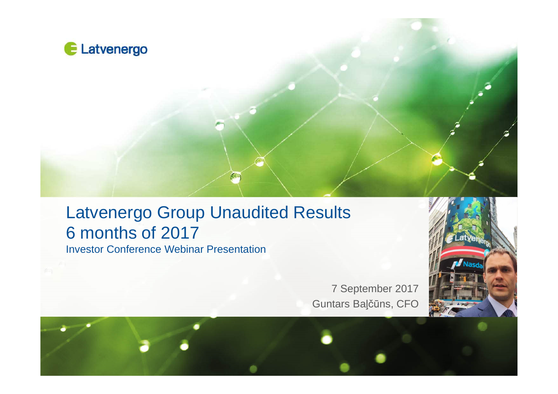

### Latvenergo Group Unaudited Results 6 months of 2017Investor Conference Webinar Presentation

7 September 2017 Guntars Baļčūns, CFO



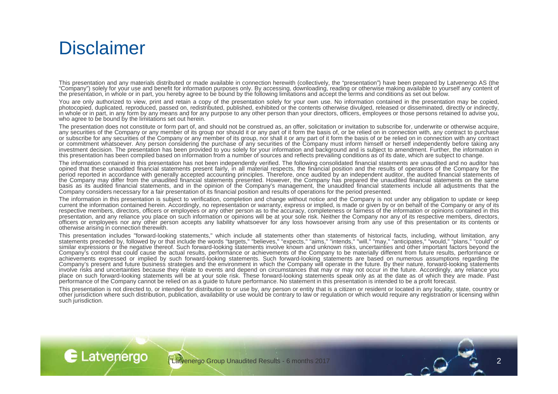### **Disclaimer**

E Latvenergo

This presentation and any materials distributed or made available in connection herewith (collectively, the "presentation") have been prepared by Latvenergo AS (the "Company") solely for your use and benefit for information purposes only. By accessing, downloading, reading or otherwise making available to yourself any content of the presentation, in whole or in part, you hereby agree to be bound by the following limitations and accept the terms and conditions as set out below.

You are only authorized to view, print and retain a copy of the presentation solely for your own use. No information contained in the presentation may be copied, included the contained in the presentation may be copied, photocopied, duplicated, reproduced, passed on, redistributed, published, exhibited or the contents otherwise divulged, released or disseminated, directly or indirectly, in whole or in part, in any form by any means and for any purpose to any other person than your directors, officers, employees or those persons retained to advise you,<br>Who essee to be hound by the limitations ast aut bersi who agree to be bound by the limitations set out herein.

The presentation does not constitute or form part of, and should not be construed as, an offer, solicitation or invitation to subscribe for, underwrite or otherwise acquire, any securities of the Company or any member of its group nor should it or any part of it form the basis of, or be relied on in connection with, any contract to purchase or subscribe for any securities of the Company or any member of its group, nor shall it or any part of it form the basis of or be relied on in connection with any contract<br>or commitment whatsoever. Any person considering t investment decision. The presentation has been provided to you solely for your information and background and is subject to amendment. Further, the information in<br>this presentation has been compiled based on information fr this presentation has been compiled based on information from <sup>a</sup> number of sources and reflects prevailing conditions as of its date, which are subject to change.

The information contained in this presentation has not been independently verified. The following consolidated financial statements are unaudited and no auditor has a unaudited financial statements are unaudited and no aud opined that these unaudited financial statements present fairly, in all material respects, the financial position and the results of operations of the Company for the<br>naried repetively accordance with generally eccepted ec period reported in accordance with generally accepted accounting principles. Therefore, once audited by an independent auditor, the audited financial statements of the Company may differ from the unaudited financial statements presented. However, the Company has prepared the unaudited financial statements on the same basis as its audited financial statements, and in the opinion of the Company's management, the unaudited financial statements include all adjustments that theCompany considers necessary for <sup>a</sup> fair presentation of its financial position and results of operations for the period presented.

The information in this presentation is subject to verification, completion and change without notice and the Company is not under any obligation to update or keepcurrent the information contained herein. Accordingly, no representation or warranty, express or implied, is made or given by or on behalf of the Company or any of its<br>representive members, directors, officers ar amplevess respective members, directors, officers or employees or any other person as to the accuracy, completeness or fairness of the information or opinions contained in this presentation, and any reliance you place on such information or opinions will be at your sole risk. Neither the Company nor any of its respective members, directors, officers or employees nor any other person accepts any liability whatsoever for any loss howsoever arising from any use of this presentation or its contents orotherwise arising in connection therewith.

This presentation includes "forward-looking statements," which include all statements other than statements of historical facts, including, without limitation, anystatements preceded by, followed by or that include the words "targets," "believes," "expects," "aims," "intends," "will," "may," "anticipates," "would," "plans," "could" or<br>similar expressions or the negative thereof. Suc Company's control that could cause the actual results, performance or achievements of the Company to be materially different from future results, performance orachievements expressed or implied by such forward-looking statements. Such forward-looking statements are based on numerous assumptions regarding the<br>Company's present and future business attategies and the environment in Company's present and future business strategies and the environment in which the Company will operate in the future. By their nature, forward-looking statements involve risks and uncertainties because they relate to events and depend on circumstances that may or may not occur in the future. Accordingly, any reliance you<br>Place an auch farward lacking attempts will be at your sele r place on such forward-looking statements will be at your sole risk. These forward-looking statements speak only as at the date as of which they are made. Past performance of the Company cannot be relied on as <sup>a</sup> guide to future performance. No statement in this presentation is intended to be <sup>a</sup> profit forecast.

This presentation is not directed to, or intended for distribution to or use by, any person or entity that is <sup>a</sup> citizen or resident or located in any locality, state, country or other jurisdiction where such distribution, publication, availability or use would be contrary to law or regulation or which would require any registration or licensing withinsuch jurisdiction.

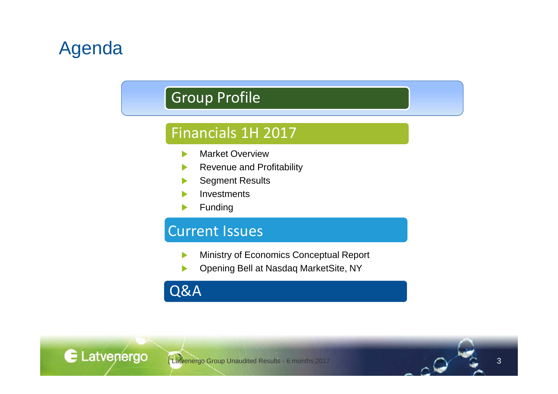## Agenda

### Group Profile

### Financials 1H 2017

- Market Overview
- Revenue and Profitability
- Segment Results
- Investments
- Funding

### Current Issues

- Ministry of Economics Conceptual Report ь
- Opening Bell at Nasdaq MarketSite, NY



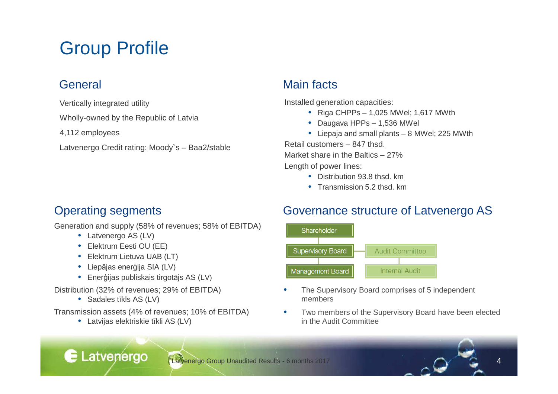## Group Profile

Vertically integrated utility

Wholly-owned by the Republic of Latvia

4,112 employees

Latvenergo Credit rating: Moody`s – Baa2/stable

### General Main facts

Installed generation capacities:

- Riga CHPPs 1,025 MWel; 1,617 MWth
- Daugava HPPs 1,536 MWel
- Liepaja and small plants <sup>8</sup> MWel; <sup>225</sup> MWth

Retail customers – 847 thsd.

Market share in the Baltics – 27%

Length of power lines:

- Distribution 93.8 thsd. km
- Transmission 5.2 thsd. km

### Operating segments

Generation and supply (58% of revenues; 58% of EBITDA)

- Latvenergo AS (LV)
- Elektrum Eesti OU (EE)
- Elektrum Lietuva UAB (LT)
- Liep<sup>ā</sup>jas enerģija SIA (LV)
- Ener ģijas publiskais tirgot <sup>ā</sup>js AS (LV)

Distribution (32% of revenues; 29% of EBITDA)

• Sadales <sup>t</sup>īkls AS (LV)

E Latvenergo

Transmission assets (4% of revenues; 10% of EBITDA)

• Latvijas elektriskie <sup>t</sup>īkli AS (LV)

### Governance structure of Latvenergo AS



- • The Supervisory Board comprises of 5 independent members
- • Two members of the Supervisory Board have been electedin the Audit Committee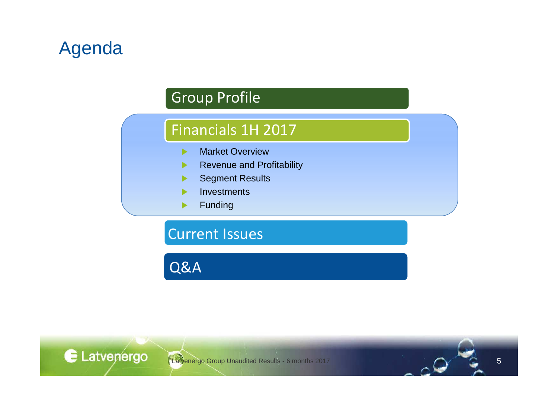## Agenda

### Group Profile

### Financials 1H 2017

- Market Overviewь
- Revenue and Profitability
- Segment Results
- **Investments**
- Funding▶

### Current Issues

Q&A

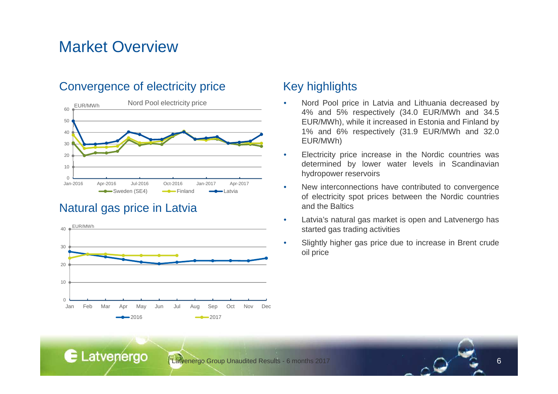### Market Overview

#### Convergence of electricity price Key highlights



#### Natural gas price in Latvia



- • Nord Pool price in Latvia and Lithuania decreased by 4% and 5% respectively (34.0 EUR/MWh and 34.5 EUR/MWh), while it increased in Estonia and Finland by 1% and 6% respectively (31.9 EUR/MWh and 32.0EUR/MWh)
- • Electricity price increase in the Nordic countries was determined by lower water levels in Scandinavianhydropower reservoirs
- • New interconnections have contributed to convergence of electricity spot prices between the Nordic countriesand the Baltics
- • Latvia's natural gas market is open and Latvenergo hasstarted gas trading activities
- • Slightly higher gas price due to increase in Brent crudeoil price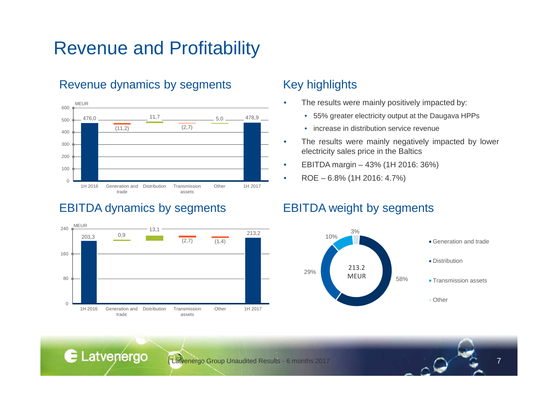### Revenue and Profitability

#### Revenue dynamics by segments Key highlights



#### EBITDA dynamics by segments EBITDA weight by segments

E Latvenergo



•

- The results were mainly positively impacted by:
	- 55% greater electricity output at the Daugava HPPs
	- increase in distribution service revenue
- • The results were mainly negatively impacted by lower electricity sales price in the Baltics
- •EBITDA margin – 43% (1H 2016: 36%)
- •ROE – 6.8% (1H 2016: 4.7%)

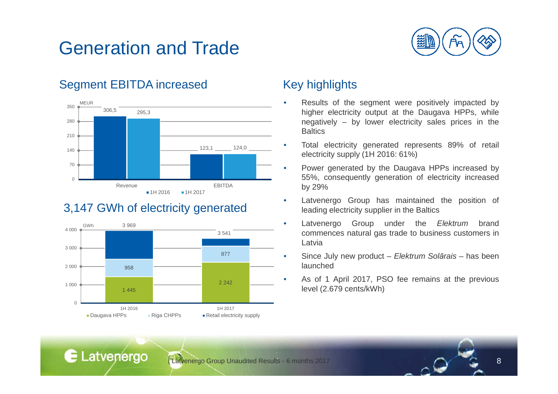## Generation and Trade



### Segment EBITDA increased Key highlights



### 3,147 GWh of electricity generated



- • Results of the segment were positively impacted by higher electricity output at the Daugava HPPs, while negatively – by lower electricity sales prices in the**Baltics**
- • Total electricity generated represents 89% of retail electricity supply (1H 2016: 61%)
- • Power generated by the Daugava HPPs increased by 55%, consequently generation of electricity increasedby 29%
- Latvenergo Group has maintained the position of •leading electricity supplier in the Baltics
- •• Latvenergo Group under the *Elektrum* brand<br>commonose potural ass trade to business quatemers in commences natural gas trade to business customers inLatvia
- • Since July new product – Elektrum Sol*ā*rais – has been launched
- • As of <sup>1</sup> April 2017, PSO fee remains at the previouslevel (2.679 cents/kWh)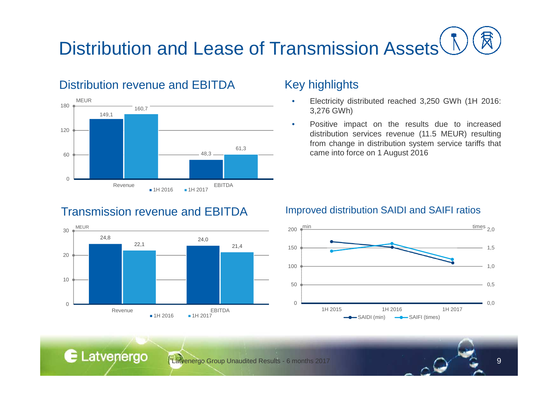# Distribution and Lease of Transmission Assets<sup>(</sup>

#### Distribution revenue and EBITDA



#### Key highlights

- • Electricity distributed reached 3,250 GWh (1H 2016: 3,276 GWh)
- • Positive impact on the results due to increased distribution services revenue (11.5 MEUR) resulting from change in distribution system service tariffs that came into force on <sup>1</sup> August 2016

### Transmission revenue and EBITDA



E Latvenergo

#### Improved distribution SAIDI and SAIFI ratios

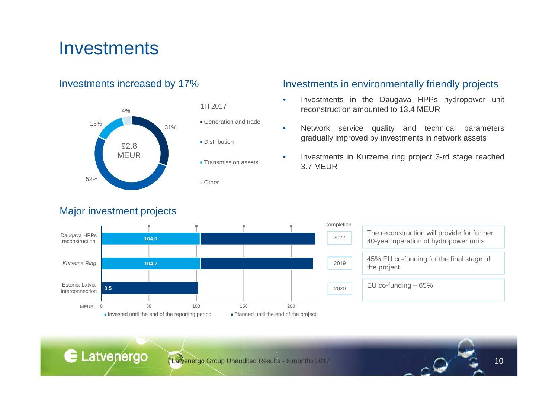### **Investments**

#### Investments increased by 17%



#### Major investment projects

E Latvenergo

#### Investments in environmentally friendly projects

- • Investments in the Daugava HPPs hydropower unit reconstruction amounted to 13.4 MEUR
- • Network service quality and technical parametersgradually improved by investments in network assets
- • Investments in Kurzeme ring project 3-rd stage reached3.7 MEUR



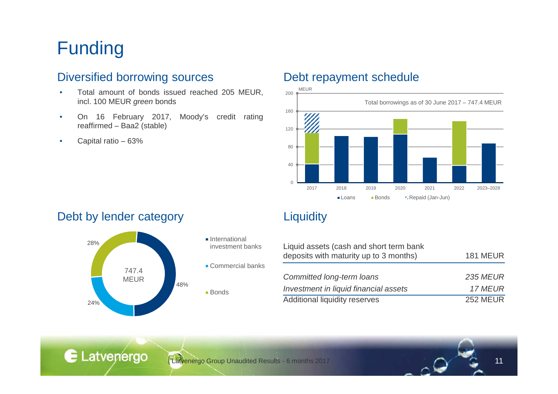## Funding

#### Diversified borrowing sources Debt repayment schedule

- • Total amount of bonds issued reached <sup>205</sup> MEUR, incl. 100 MEUR *green* bonds
- • On <sup>16</sup> February 2017, Moody's credit ratingreaffirmed – Baa2 (stable)
- •Capital ratio – 63%

#### Debt by lender category **Liquidity**





| Liquid assets (cash and short term bank |                 |
|-----------------------------------------|-----------------|
| deposits with maturity up to 3 months)  | <b>181 MEUR</b> |
|                                         |                 |
| Committed long-term loans               | <b>235 MEUR</b> |
| Investment in liquid financial assets   | 17 MEUR         |
| Additional liquidity reserves           | <b>252 MEUR</b> |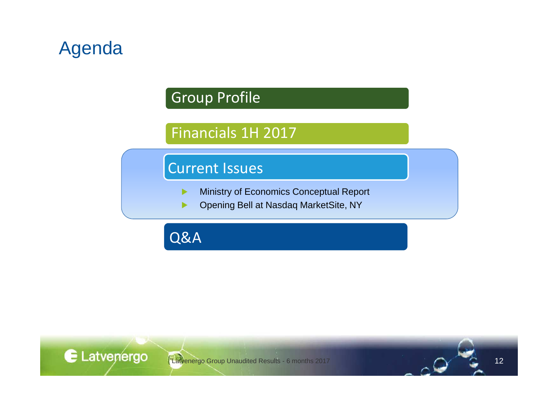## Agenda

### Group Profile

### Financials 1H 2017

### Current Issues

- Ministry of Economics Conceptual Report  $\blacktriangleright$
- Opening Bell at Nasdaq MarketSite, NY▶

Q&A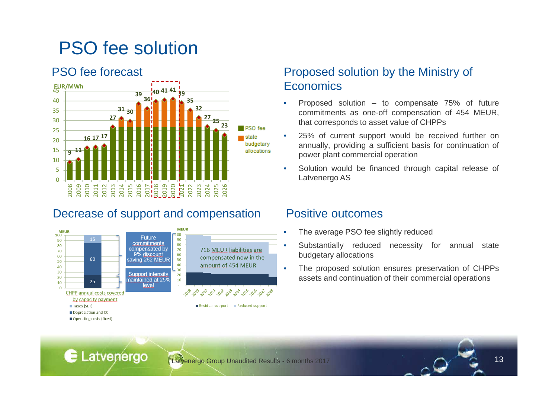## PSO fee solution

#### PSO fee forecast

E Latvenergo



### Decrease of support and compensation Positive outcomes



#### Proposed solution by the Ministry of **Economics**

- • Proposed solution – to compensate 75% of future commitments as one-off compensation of 454 MEUR, that corresponds to asset value of CHPPs
- • 25% of current support would be received further on annually, providing <sup>a</sup> sufficient basis for continuation of power plant commercial operation
- • Solution would be financed through capital release of Latvenergo AS

- •The average PSO fee slightly reduced
- • Substantially reduced necessity for annual statebudgetary allocations
- • The proposed solution ensures preservation of CHPPsassets and continuation of their commercial operations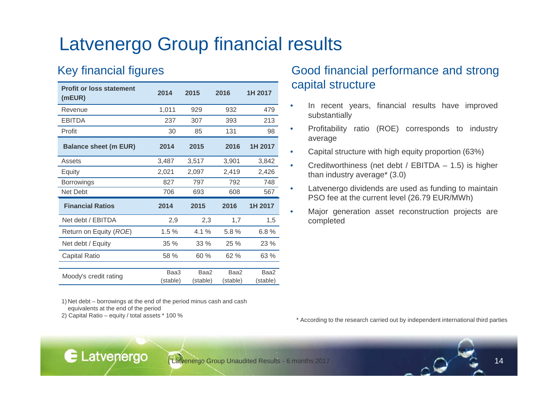### Latvenergo Group financial results

### Key financial figures

| <b>Profit or loss statement</b><br>(mEUR) | 2014             | 2015             | 2016             | 1H 2017          |
|-------------------------------------------|------------------|------------------|------------------|------------------|
| Revenue                                   | 1,011            | 929              | 932              | 479              |
| <b>EBITDA</b>                             | 237              | 307              | 393              | 213              |
| Profit                                    | 30               | 85               | 131              | 98               |
| <b>Balance sheet (m EUR)</b>              | 2014             | 2015             | 2016             | 1H 2017          |
| Assets                                    | 3,487            | 3,517            | 3,901            | 3,842            |
| Equity                                    | 2,021            | 2,097            | 2,419            | 2,426            |
| <b>Borrowings</b>                         | 827              | 797              | 792              | 748              |
| Net Debt                                  | 706              | 693              | 608              | 567              |
| <b>Financial Ratios</b>                   | 2014             | 2015             | 2016             | 1H 2017          |
| Net debt / EBITDA                         | 2,9              | 2,3              | 1,7              | 1,5              |
| Return on Equity (ROE)                    | 1.5%             | $4.1\%$          | 5.8%             | 6.8%             |
| Net debt / Equity                         | 35%              | 33 %             | 25 %             | 23 %             |
| <b>Capital Ratio</b>                      | 58 %             | 60 %             | 62%              | 63 %             |
|                                           |                  |                  |                  |                  |
| Moody's credit rating                     | Baa3<br>(stable) | Baa2<br>(stable) | Baa2<br>(stable) | Baa2<br>(stable) |
|                                           |                  |                  |                  |                  |

1) Net debt – borrowings at the end of the period minus cash and cash equivalents at the end of the period2) Capital Ratio – equity / total assets \* 100 %

E Latvenergo

### Good financial performance and strongcapital structure

- • In recent years, financial results have improvedsubstantially
- • Profitability ratio (ROE) corresponds to industryaverage
- •Capital structure with high equity proportion (63%)
- • Creditworthiness (net debt / EBITDA – 1.5) is higher than industry average\* (3.0)
- • Latvenergo dividends are used as funding to maintainPSO fee at the current level (26.79 EUR/MWh)
- • Major generation asset reconstruction projects arecompleted

\* According to the research carried out by independent international third parties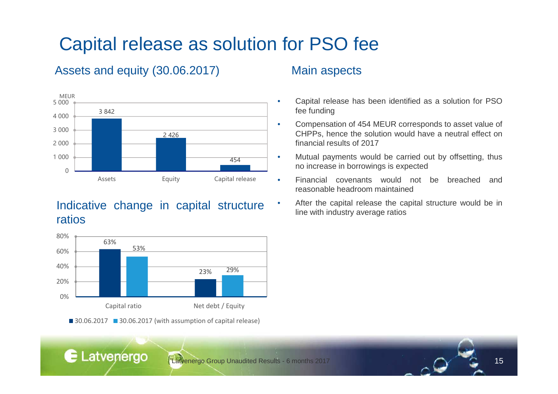# Capital release as solution for PSO fee

### Assets and equity (30.06.2017)



### Indicative change in capital structureratios



30.06.2017 30.06.2017 (with assumption of capital release)

E Latvenergo

#### Main aspects

- Capital release has been identified as <sup>a</sup> solution for PSOfee funding
- Compensation of <sup>454</sup> MEUR corresponds to asset value of CHPPs, hence the solution would have <sup>a</sup> neutral effect onfinancial results of 2017
- Mutual payments would be carried out by offsetting, thusno increase in borrowings is expected
- Financial covenants would not be breached andreasonable headroom maintained
- • After the capital release the capital structure would be inline with industry average ratios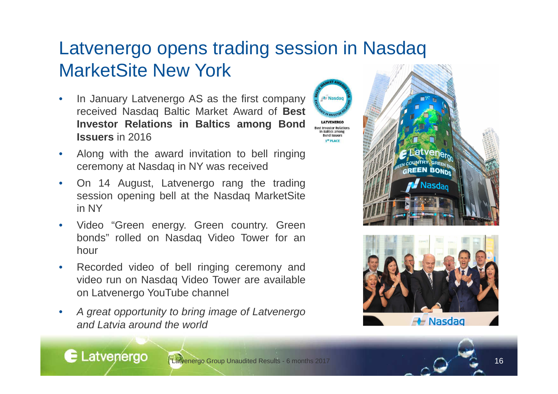## Latvenergo opens trading session in NasdaqMarketSite New York

Nasdac

est Investor Relation: **Baltics among Bond Issuers ST PLACE** 

- • In January Latvenergo AS as the first company received Nasdaq Baltic Market Award of **BestInvestor Relations in Baltics among BondIssuers** in <sup>2016</sup>
- • Along with the award invitation to bell ringingceremony at Nasdaq in NY was received
- • On <sup>14</sup> August, Latvenergo rang the trading session opening bell at the Nasdaq MarketSitein NY
- • Video "Green energy. Green country. Green bonds" rolled on Nasdaq Video Tower for anhour
- • Recorded video of bell ringing ceremony and video run on Nasdaq Video Tower are availableon Latvenergo YouTube channel
- • <sup>A</sup> great opportunity to bring image of Latvenergoand Latvia around the world



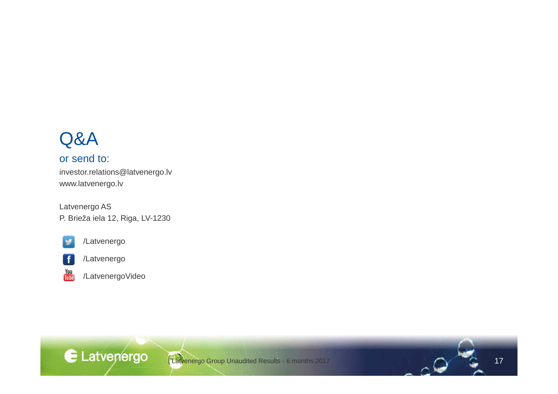### Q&A

#### or send to:

investor.relations@latvenergo.lvwww.latvenergo.lv

Latvenergo ASP. Brieža iela 12, Riga, LV-1230



You<br>Libe

/Latvenergo



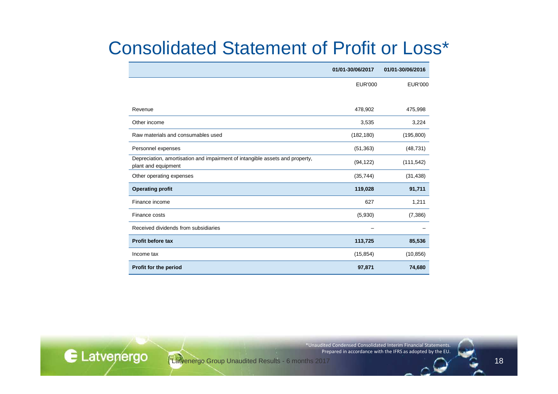### Consolidated Statement of Profit or Loss\*

|                                                                                                     | 01/01-30/06/2017 | 01/01-30/06/2016 |
|-----------------------------------------------------------------------------------------------------|------------------|------------------|
|                                                                                                     | <b>EUR'000</b>   | <b>EUR'000</b>   |
|                                                                                                     |                  |                  |
| Revenue                                                                                             | 478,902          | 475,998          |
| Other income                                                                                        | 3,535            | 3,224            |
| Raw materials and consumables used                                                                  | (182, 180)       | (195, 800)       |
| Personnel expenses                                                                                  | (51, 363)        | (48, 731)        |
| Depreciation, amortisation and impairment of intangible assets and property,<br>plant and equipment | (94, 122)        | (111, 542)       |
| Other operating expenses                                                                            | (35, 744)        | (31, 438)        |
| <b>Operating profit</b>                                                                             | 119,028          | 91,711           |
| Finance income                                                                                      | 627              | 1,211            |
| Finance costs                                                                                       | (5,930)          | (7, 386)         |
| Received dividends from subsidiaries                                                                |                  |                  |
| <b>Profit before tax</b>                                                                            | 113,725          | 85,536           |
| Income tax                                                                                          | (15, 854)        | (10, 856)        |
| Profit for the period                                                                               | 97,871           | 74,680           |

\*Unaudited Condensed Consolidated Interim Financial Statements. Prepared in accordance with the IFRS as adopted by the EU.

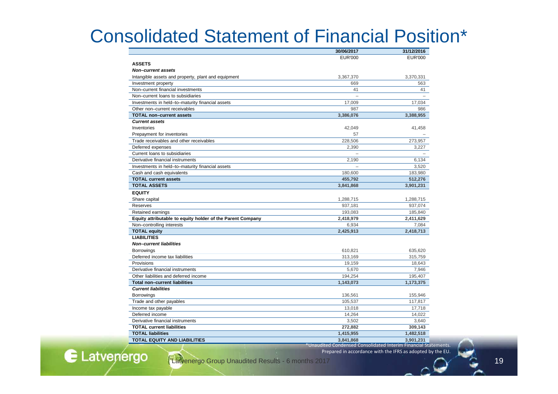### Consolidated Statement of Financial Position\*

|                                                            | 30/06/2017                                                      | 31/12/2016     |
|------------------------------------------------------------|-----------------------------------------------------------------|----------------|
|                                                            | <b>EUR'000</b>                                                  | <b>EUR'000</b> |
| <b>ASSETS</b>                                              |                                                                 |                |
| <b>Non-current assets</b>                                  |                                                                 |                |
| Intangible assets and property, plant and equipment        | 3,367,370                                                       | 3,370,331      |
| Investment property                                        | 669                                                             | 563            |
| Non-current financial investments                          | 41                                                              | 41             |
| Non-current loans to subsidiaries                          |                                                                 |                |
| Investments in held-to-maturity financial assets           | 17,009                                                          | 17,034         |
| Other non-current receivables                              | 987                                                             | 986            |
| <b>TOTAL non-current assets</b>                            | 3,386,076                                                       | 3,388,955      |
| <b>Current assets</b>                                      |                                                                 |                |
| Inventories                                                | 42,049                                                          | 41,458         |
| Prepayment for inventories                                 | 57                                                              |                |
| Trade receivables and other receivables                    | 228,506                                                         | 273,957        |
| Deferred expenses                                          | 2,390                                                           | 3,227          |
| Current loans to subsidiaries                              |                                                                 |                |
| Derivative financial instruments                           | 2,190                                                           | 6,134          |
| Investments in held-to-maturity financial assets           |                                                                 | 3,520          |
| Cash and cash equivalents                                  | 180,600                                                         | 183,980        |
| <b>TOTAL current assets</b>                                | 455,792                                                         | 512,276        |
| <b>TOTAL ASSETS</b>                                        | 3,841,868                                                       | 3,901,231      |
| <b>EQUITY</b>                                              |                                                                 |                |
| Share capital                                              | 1,288,715                                                       | 1,288,715      |
| Reserves                                                   | 937,181                                                         | 937,074        |
| Retained earnings                                          | 193,083                                                         | 185,840        |
| Equity attributable to equity holder of the Parent Company | 2,418,979                                                       | 2,411,629      |
| Non-controlling interests                                  | 6,934                                                           | 7,084          |
| <b>TOTAL equity</b>                                        | 2,425,913                                                       | 2,418,713      |
| <b>LIABILITIES</b>                                         |                                                                 |                |
| <b>Non-current liabilities</b>                             |                                                                 |                |
| <b>Borrowings</b>                                          | 610,821                                                         | 635,620        |
| Deferred income tax liabilities                            | 313,169                                                         | 315,759        |
| Provisions                                                 | 19,159                                                          | 18,643         |
| Derivative financial instruments                           | 5,670                                                           | 7,946          |
| Other liabilities and deferred income                      | 194,254                                                         | 195,407        |
| <b>Total non-current liabilities</b>                       | 1,143,073                                                       | 1,173,375      |
| <b>Current liabilities</b>                                 |                                                                 |                |
| <b>Borrowings</b>                                          | 136,561                                                         | 155,946        |
| Trade and other payables                                   | 105,537                                                         | 117,817        |
| Income tax payable                                         | 13,018                                                          | 17,718         |
| Deferred income                                            | 14,264                                                          | 14,022         |
| Derivative financial instruments                           | 3,502                                                           | 3,640          |
| <b>TOTAL current liabilities</b>                           | 272.882                                                         | 309.143        |
| <b>TOTAL liabilities</b>                                   | 1,415,955                                                       | 1,482,518      |
| <b>TOTAL EQUITY AND LIABILITIES</b>                        | 3,841,868                                                       | 3,901,231      |
|                                                            | *Unaudited Condensed Consolidated Interim Financial Statements. |                |

Prepared in accordance with the IFRS as adopted by the EU.

Latvenergo Group Unaudited Results - 6 months 2017